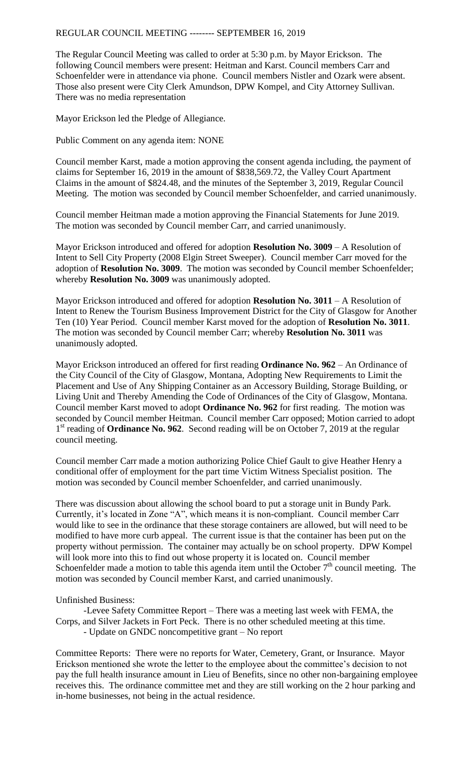## REGULAR COUNCIL MEETING -------- SEPTEMBER 16, 2019

The Regular Council Meeting was called to order at 5:30 p.m. by Mayor Erickson. The following Council members were present: Heitman and Karst. Council members Carr and Schoenfelder were in attendance via phone. Council members Nistler and Ozark were absent. Those also present were City Clerk Amundson, DPW Kompel, and City Attorney Sullivan. There was no media representation

Mayor Erickson led the Pledge of Allegiance.

Public Comment on any agenda item: NONE

Council member Karst, made a motion approving the consent agenda including, the payment of claims for September 16, 2019 in the amount of \$838,569.72, the Valley Court Apartment Claims in the amount of \$824.48, and the minutes of the September 3, 2019, Regular Council Meeting. The motion was seconded by Council member Schoenfelder, and carried unanimously.

Council member Heitman made a motion approving the Financial Statements for June 2019. The motion was seconded by Council member Carr, and carried unanimously.

Mayor Erickson introduced and offered for adoption **Resolution No. 3009** – A Resolution of Intent to Sell City Property (2008 Elgin Street Sweeper). Council member Carr moved for the adoption of **Resolution No. 3009**. The motion was seconded by Council member Schoenfelder; whereby **Resolution No. 3009** was unanimously adopted.

Mayor Erickson introduced and offered for adoption **Resolution No. 3011** – A Resolution of Intent to Renew the Tourism Business Improvement District for the City of Glasgow for Another Ten (10) Year Period. Council member Karst moved for the adoption of **Resolution No. 3011**. The motion was seconded by Council member Carr; whereby **Resolution No. 3011** was unanimously adopted.

Mayor Erickson introduced an offered for first reading **Ordinance No. 962** – An Ordinance of the City Council of the City of Glasgow, Montana, Adopting New Requirements to Limit the Placement and Use of Any Shipping Container as an Accessory Building, Storage Building, or Living Unit and Thereby Amending the Code of Ordinances of the City of Glasgow, Montana. Council member Karst moved to adopt **Ordinance No. 962** for first reading. The motion was seconded by Council member Heitman. Council member Carr opposed; Motion carried to adopt 1<sup>st</sup> reading of **Ordinance No. 962**. Second reading will be on October 7, 2019 at the regular council meeting.

Council member Carr made a motion authorizing Police Chief Gault to give Heather Henry a conditional offer of employment for the part time Victim Witness Specialist position. The motion was seconded by Council member Schoenfelder, and carried unanimously.

There was discussion about allowing the school board to put a storage unit in Bundy Park. Currently, it's located in Zone "A", which means it is non-compliant. Council member Carr would like to see in the ordinance that these storage containers are allowed, but will need to be modified to have more curb appeal. The current issue is that the container has been put on the property without permission. The container may actually be on school property. DPW Kompel will look more into this to find out whose property it is located on. Council member Schoenfelder made a motion to table this agenda item until the October  $7<sup>th</sup>$  council meeting. The motion was seconded by Council member Karst, and carried unanimously.

Unfinished Business:

-Levee Safety Committee Report – There was a meeting last week with FEMA, the Corps, and Silver Jackets in Fort Peck. There is no other scheduled meeting at this time. - Update on GNDC noncompetitive grant – No report

Committee Reports: There were no reports for Water, Cemetery, Grant, or Insurance. Mayor Erickson mentioned she wrote the letter to the employee about the committee's decision to not pay the full health insurance amount in Lieu of Benefits, since no other non-bargaining employee receives this. The ordinance committee met and they are still working on the 2 hour parking and in-home businesses, not being in the actual residence.